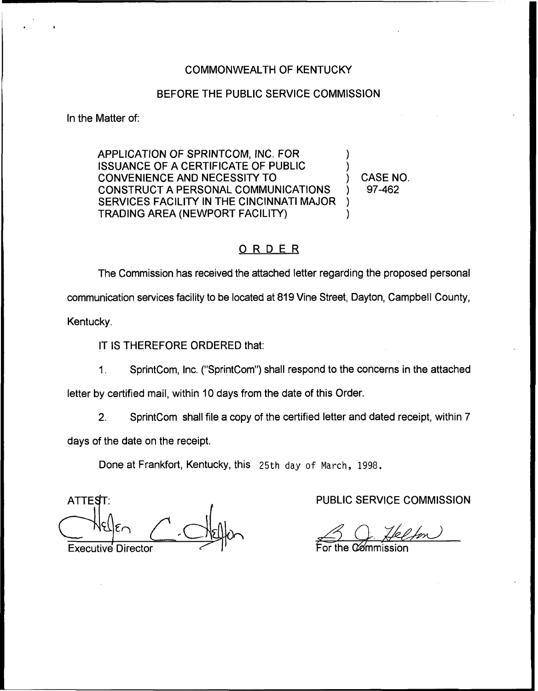# COMMONWEALTH OF KENTUCKY

### BEFORE THE PUBLIC SERVICE COMMISSION

In the Matter of:

APPLICATION OF SPRINTCOM, INC. FOR ISSUANCE OF A CERTIFICATE OF PUBLIC CONVENIENCE AND NECESSITY TO CONSTRUCT A PERSONAL COMMUNICATIONS SERVICES FACILITY IN THE CINCINNATI MAJOR TRADING AREA (NEWPORT FACILITY) ) ) ) )

) CASE NO. ) 97-462

# ORDER

The Commission has received the attached letter regarding the proposed personal communication services facility to be located at 819Vine Street, Dayton, Campbell County,

Kentucky.

IT IS THEREFORE ORDERED that:

SprintCom, Inc. ("SprintCom") shall respond to the concerns in the attached  $1<sub>1</sub>$ 

letter by certified mail, within 10 days from the date of this Order.

2. SprintCom shall file a copy of the certified letter and dated receipt, within 7

days of the date on the receipt.

Done at Frankfort, Kentucky, this 25th day of March, 1998.

ATTE**ST**: <~i Executive Director

PUBLIC SERVICE COMMISSION

For the Commissio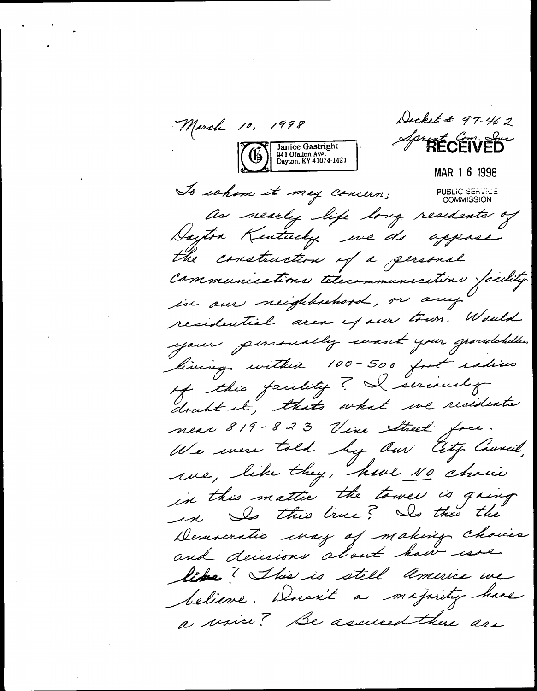Decket # 97-462 March 10, 1998 A<sup>pr</sup>RÉCÉÏVED Janice Gastright<br>941 Ofallon Ave.<br>Dayton, KY 41074-1421 MAR 1 6 1998 To cohom it may concern; **PUBLIC SERVICE**<br>COMMISSION as nearly life long residents of Dayton Kentucky we do appase the construction of a gersonal communications telecommunications facility residential area of our town. Would your personally want your grandchillers living within 100-500 fut radius of this facility? I seriously doubt it, thats what we residents near 819-823 Vine Street free. We were told by Our City Council,<br>we, like they, have No choice in this mattic the tower is going in. Is this true? Is this the Democratic way of making choices and decisions about how use like? This is still america we believe. Doesn't a majority have a voice? Be assumed there are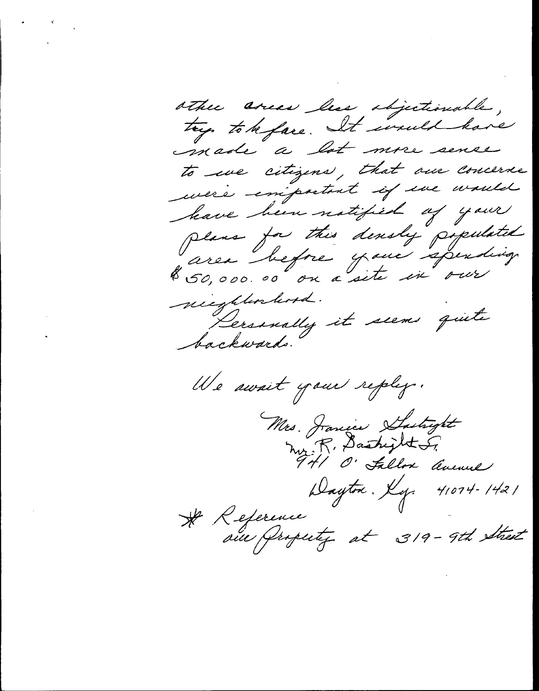other areas less objectionable, try to be face. It would have made a lot more sense to use citizens, that our concerne mere emportant if une would have been notified of your plans for this densly populated<br>area before your spending nieghtenhood. Dersonally it seems quite backwards. We await your replay. Mrs. Janice Subytt<br>Mrs. R. Dashijkt S. Dayton. Ky. 41074-1421 \* Reference<br>aux Property at 319-9th Street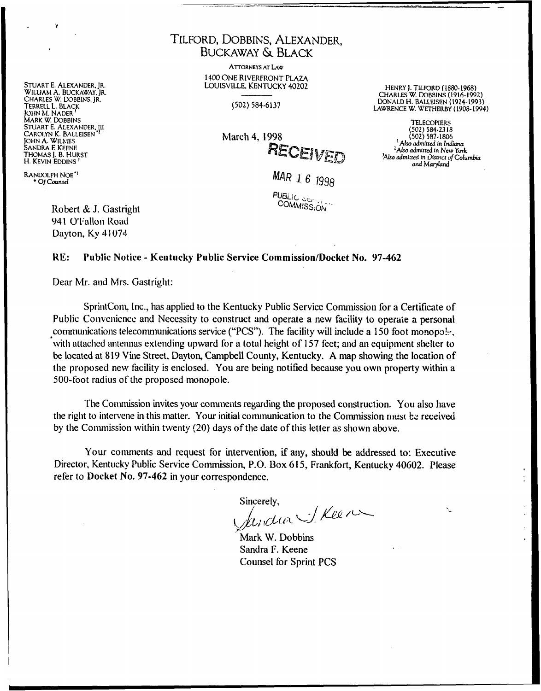STUART E. ALEXANDER, JR. WILLIAM A. BUCKAWAY, JR.<br>CHARLES W. DOBBINS, JR. TERRELL L. BLACK **IOHN M. NADER** MARK W. DOBBINS STUART E. ALEXANDER, III CAROLYN K. BALLEISEN **JOHN A. WILMES** SANDRA F. KEENE THOMAS I. B. HURST H. KEVIN EDDINS<sup>1</sup>

RANDOLPH NOE<sup>\*1</sup> \* Of Counsel

> Robert & J. Gastright 941 O'Fallon Road Dayton, Ky 41074

# TILFORD, DOBBINS, ALEXANDER. **BUCKAWAY & BLACK**

**ATTORNEYS AT LAW** 1400 ONE RIVERFRONT PLAZA LOUISVILLE, KENTUCKY 40202

 $(502) 584 - 6137$ 

March 4, 1998 RECEIVED

HENRY J. TILFORD (1880-1968) CHARLES W. DOBBINS (1916-1992) DONALD H. BALLEISEN (1924-1993) LAWRENCE W. WETHERBY (1908-1994)

**TELECOPIERS**  $(502) 584.2318$ <br> $(502) 587.1806$ <sup>1</sup> Also admitted in Indiana <sup>2</sup>Also admitted in New York 'Also admitted in District of Columbia and Maryland

MAR 1 6 1998

**PUBLIC SIERS** COMMISSION

#### Public Notice - Kentucky Public Service Commission/Docket No. 97-462 RE:

Dear Mr. and Mrs. Gastright:

SprintCom, Inc., has applied to the Kentucky Public Service Commission for a Certificate of Public Convenience and Necessity to construct and operate a new facility to operate a personal communications telecommunications service ("PCS"). The facility will include a 150 foot monopolwith attached antennas extending upward for a total height of 157 feet; and an equipment shelter to be located at 819 Vine Street, Dayton, Campbell County, Kentucky. A map showing the location of the proposed new facility is enclosed. You are being notified because you own property within a 500-foot radius of the proposed monopole.

The Commission invites your comments regarding the proposed construction. You also have the right to intervene in this matter. Your initial communication to the Commission must be received by the Commission within twenty (20) days of the date of this letter as shown above.

Your comments and request for intervention, if any, should be addressed to: Executive Director, Kentucky Public Service Commission, P.O. Box 615, Frankfort, Kentucky 40602. Please refer to Docket No. 97-462 in your correspondence.

Sincerely,

produce J. Keen

Mark W. Dobbins Sandra F. Keene **Counsel for Sprint PCS**